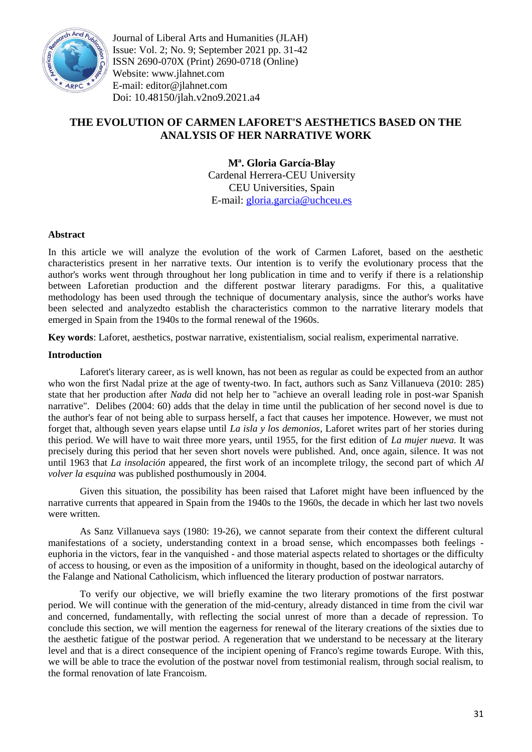

Journal of Liberal Arts and Humanities (JLAH) Issue: Vol. 2; No. 9; September 2021 pp. 31-42 ISSN 2690-070X (Print) 2690-0718 (Online) Website: www.jlahnet.com E-mail: editor@jlahnet.com Doi: 10.48150/jlah.v2no9.2021.a4

# **THE EVOLUTION OF CARMEN LAFORET'S AESTHETICS BASED ON THE ANALYSIS OF HER NARRATIVE WORK**

**Mª. Gloria García-Blay** Cardenal Herrera-CEU University CEU Universities, Spain E-mail: [gloria.garcia@uchceu.es](mailto:gloria.garcia@uchceu.es)

# **Abstract**

In this article we will analyze the evolution of the work of Carmen Laforet, based on the aesthetic characteristics present in her narrative texts. Our intention is to verify the evolutionary process that the author's works went through throughout her long publication in time and to verify if there is a relationship between Laforetian production and the different postwar literary paradigms. For this, a qualitative methodology has been used through the technique of documentary analysis, since the author's works have been selected and analyzedto establish the characteristics common to the narrative literary models that emerged in Spain from the 1940s to the formal renewal of the 1960s.

**Key words**: Laforet, aesthetics, postwar narrative, existentialism, social realism, experimental narrative.

# **Introduction**

Laforet's literary career, as is well known, has not been as regular as could be expected from an author who won the first Nadal prize at the age of twenty-two. In fact, authors such as Sanz Villanueva (2010: 285) state that her production after *Nada* did not help her to "achieve an overall leading role in post-war Spanish narrative". Delibes (2004: 60) adds that the delay in time until the publication of her second novel is due to the author's fear of not being able to surpass herself, a fact that causes her impotence. However, we must not forget that, although seven years elapse until *La isla y los demonios*, Laforet writes part of her stories during this period. We will have to wait three more years, until 1955, for the first edition of *La mujer nueva.* It was precisely during this period that her seven short novels were published. And, once again, silence. It was not until 1963 that *La insolación* appeared, the first work of an incomplete trilogy, the second part of which *Al volver la esquina* was published posthumously in 2004.

Given this situation, the possibility has been raised that Laforet might have been influenced by the narrative currents that appeared in Spain from the 1940s to the 1960s, the decade in which her last two novels were written.

As Sanz Villanueva says (1980: 19-26), we cannot separate from their context the different cultural manifestations of a society, understanding context in a broad sense, which encompasses both feelings euphoria in the victors, fear in the vanquished - and those material aspects related to shortages or the difficulty of access to housing, or even as the imposition of a uniformity in thought, based on the ideological autarchy of the Falange and National Catholicism, which influenced the literary production of postwar narrators.

To verify our objective, we will briefly examine the two literary promotions of the first postwar period. We will continue with the generation of the mid-century, already distanced in time from the civil war and concerned, fundamentally, with reflecting the social unrest of more than a decade of repression. To conclude this section, we will mention the eagerness for renewal of the literary creations of the sixties due to the aesthetic fatigue of the postwar period. A regeneration that we understand to be necessary at the literary level and that is a direct consequence of the incipient opening of Franco's regime towards Europe. With this, we will be able to trace the evolution of the postwar novel from testimonial realism, through social realism, to the formal renovation of late Francoism.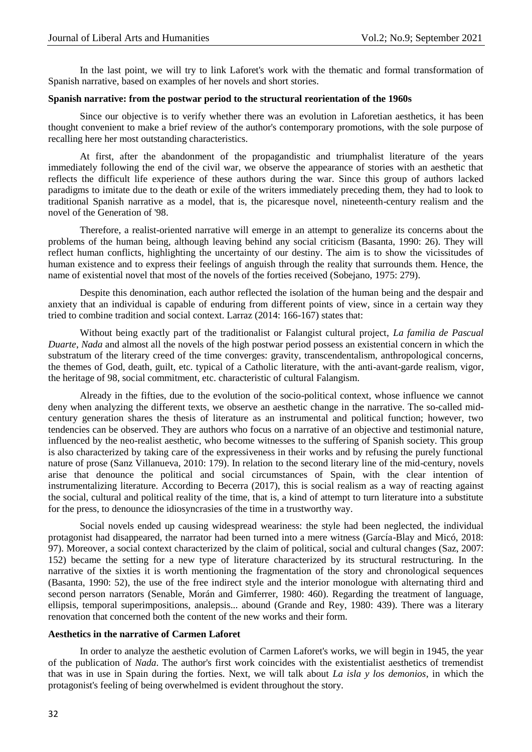In the last point, we will try to link Laforet's work with the thematic and formal transformation of Spanish narrative, based on examples of her novels and short stories.

### **Spanish narrative: from the postwar period to the structural reorientation of the 1960s**

Since our objective is to verify whether there was an evolution in Laforetian aesthetics, it has been thought convenient to make a brief review of the author's contemporary promotions, with the sole purpose of recalling here her most outstanding characteristics.

At first, after the abandonment of the propagandistic and triumphalist literature of the years immediately following the end of the civil war, we observe the appearance of stories with an aesthetic that reflects the difficult life experience of these authors during the war. Since this group of authors lacked paradigms to imitate due to the death or exile of the writers immediately preceding them, they had to look to traditional Spanish narrative as a model, that is, the picaresque novel, nineteenth-century realism and the novel of the Generation of '98.

Therefore, a realist-oriented narrative will emerge in an attempt to generalize its concerns about the problems of the human being, although leaving behind any social criticism (Basanta, 1990: 26). They will reflect human conflicts, highlighting the uncertainty of our destiny. The aim is to show the vicissitudes of human existence and to express their feelings of anguish through the reality that surrounds them. Hence, the name of existential novel that most of the novels of the forties received (Sobejano, 1975: 279).

Despite this denomination, each author reflected the isolation of the human being and the despair and anxiety that an individual is capable of enduring from different points of view, since in a certain way they tried to combine tradition and social context. Larraz (2014: 166-167) states that:

Without being exactly part of the traditionalist or Falangist cultural project, *La familia de Pascual Duarte*, *Nada* and almost all the novels of the high postwar period possess an existential concern in which the substratum of the literary creed of the time converges: gravity, transcendentalism, anthropological concerns, the themes of God, death, guilt, etc. typical of a Catholic literature, with the anti-avant-garde realism, vigor, the heritage of 98, social commitment, etc. characteristic of cultural Falangism.

Already in the fifties, due to the evolution of the socio-political context, whose influence we cannot deny when analyzing the different texts, we observe an aesthetic change in the narrative. The so-called midcentury generation shares the thesis of literature as an instrumental and political function; however, two tendencies can be observed. They are authors who focus on a narrative of an objective and testimonial nature, influenced by the neo-realist aesthetic, who become witnesses to the suffering of Spanish society. This group is also characterized by taking care of the expressiveness in their works and by refusing the purely functional nature of prose (Sanz Villanueva, 2010: 179). In relation to the second literary line of the mid-century, novels arise that denounce the political and social circumstances of Spain, with the clear intention of instrumentalizing literature. According to Becerra (2017), this is social realism as a way of reacting against the social, cultural and political reality of the time, that is, a kind of attempt to turn literature into a substitute for the press, to denounce the idiosyncrasies of the time in a trustworthy way.

Social novels ended up causing widespread weariness: the style had been neglected, the individual protagonist had disappeared, the narrator had been turned into a mere witness (García-Blay and Micó, 2018: 97). Moreover, a social context characterized by the claim of political, social and cultural changes (Saz, 2007: 152) became the setting for a new type of literature characterized by its structural restructuring. In the narrative of the sixties it is worth mentioning the fragmentation of the story and chronological sequences (Basanta, 1990: 52), the use of the free indirect style and the interior monologue with alternating third and second person narrators (Senable, Morán and Gimferrer, 1980: 460). Regarding the treatment of language, ellipsis, temporal superimpositions, analepsis... abound (Grande and Rey, 1980: 439). There was a literary renovation that concerned both the content of the new works and their form.

### **Aesthetics in the narrative of Carmen Laforet**

In order to analyze the aesthetic evolution of Carmen Laforet's works, we will begin in 1945, the year of the publication of *Nada*. The author's first work coincides with the existentialist aesthetics of tremendist that was in use in Spain during the forties. Next, we will talk about *La isla y los demonios*, in which the protagonist's feeling of being overwhelmed is evident throughout the story.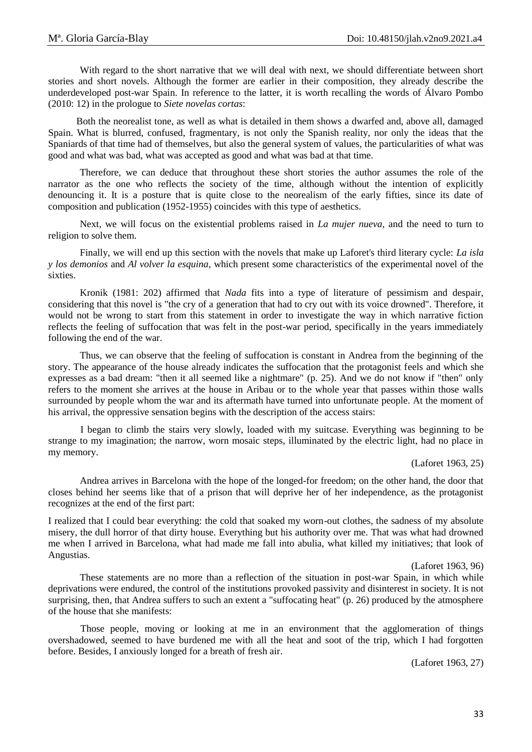With regard to the short narrative that we will deal with next, we should differentiate between short stories and short novels. Although the former are earlier in their composition, they already describe the underdeveloped post-war Spain. In reference to the latter, it is worth recalling the words of Álvaro Pombo (2010: 12) in the prologue to *Siete novelas cortas*:

Both the neorealist tone, as well as what is detailed in them shows a dwarfed and, above all, damaged Spain. What is blurred, confused, fragmentary, is not only the Spanish reality, nor only the ideas that the Spaniards of that time had of themselves, but also the general system of values, the particularities of what was good and what was bad, what was accepted as good and what was bad at that time.

Therefore, we can deduce that throughout these short stories the author assumes the role of the narrator as the one who reflects the society of the time, although without the intention of explicitly denouncing it. It is a posture that is quite close to the neorealism of the early fifties, since its date of composition and publication (1952-1955) coincides with this type of aesthetics.

Next, we will focus on the existential problems raised in *La mujer nueva*, and the need to turn to religion to solve them.

Finally, we will end up this section with the novels that make up Laforet's third literary cycle: *La isla y los demonios* and *Al volver la esquina*, which present some characteristics of the experimental novel of the sixties.

Kronik (1981: 202) affirmed that *Nada* fits into a type of literature of pessimism and despair, considering that this novel is "the cry of a generation that had to cry out with its voice drowned". Therefore, it would not be wrong to start from this statement in order to investigate the way in which narrative fiction reflects the feeling of suffocation that was felt in the post-war period, specifically in the years immediately following the end of the war.

Thus, we can observe that the feeling of suffocation is constant in Andrea from the beginning of the story. The appearance of the house already indicates the suffocation that the protagonist feels and which she expresses as a bad dream: "then it all seemed like a nightmare" (p. 25). And we do not know if "then" only refers to the moment she arrives at the house in Aribau or to the whole year that passes within those walls surrounded by people whom the war and its aftermath have turned into unfortunate people. At the moment of his arrival, the oppressive sensation begins with the description of the access stairs:

I began to climb the stairs very slowly, loaded with my suitcase. Everything was beginning to be strange to my imagination; the narrow, worn mosaic steps, illuminated by the electric light, had no place in my memory.

(Laforet 1963, 25)

Andrea arrives in Barcelona with the hope of the longed-for freedom; on the other hand, the door that closes behind her seems like that of a prison that will deprive her of her independence, as the protagonist recognizes at the end of the first part:

I realized that I could bear everything: the cold that soaked my worn-out clothes, the sadness of my absolute misery, the dull horror of that dirty house. Everything but his authority over me. That was what had drowned me when I arrived in Barcelona, what had made me fall into abulia, what killed my initiatives; that look of Angustias.

(Laforet 1963, 96)

These statements are no more than a reflection of the situation in post-war Spain, in which while deprivations were endured, the control of the institutions provoked passivity and disinterest in society. It is not surprising, then, that Andrea suffers to such an extent a "suffocating heat" (p. 26) produced by the atmosphere of the house that she manifests:

Those people, moving or looking at me in an environment that the agglomeration of things overshadowed, seemed to have burdened me with all the heat and soot of the trip, which I had forgotten before. Besides, I anxiously longed for a breath of fresh air.

(Laforet 1963, 27)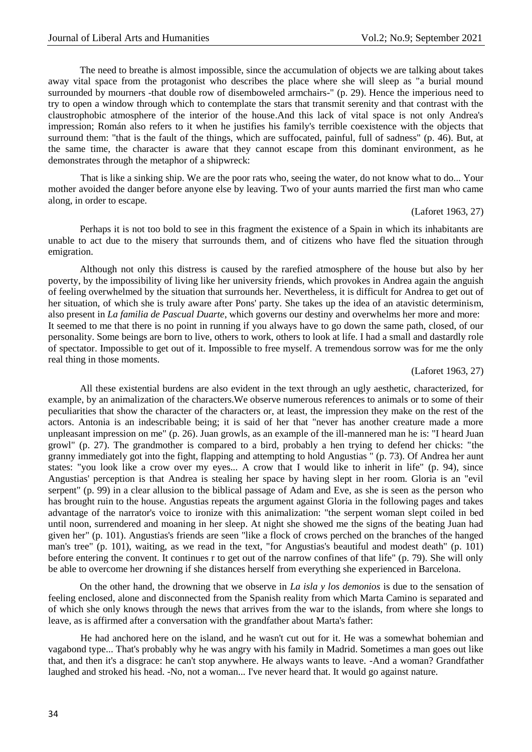The need to breathe is almost impossible, since the accumulation of objects we are talking about takes away vital space from the protagonist who describes the place where she will sleep as "a burial mound surrounded by mourners -that double row of disemboweled armchairs-" (p. 29). Hence the imperious need to try to open a window through which to contemplate the stars that transmit serenity and that contrast with the claustrophobic atmosphere of the interior of the house.And this lack of vital space is not only Andrea's impression; Román also refers to it when he justifies his family's terrible coexistence with the objects that surround them: "that is the fault of the things, which are suffocated, painful, full of sadness" (p. 46). But, at the same time, the character is aware that they cannot escape from this dominant environment, as he demonstrates through the metaphor of a shipwreck:

That is like a sinking ship. We are the poor rats who, seeing the water, do not know what to do... Your mother avoided the danger before anyone else by leaving. Two of your aunts married the first man who came along, in order to escape.

(Laforet 1963, 27)

Perhaps it is not too bold to see in this fragment the existence of a Spain in which its inhabitants are unable to act due to the misery that surrounds them, and of citizens who have fled the situation through emigration.

Although not only this distress is caused by the rarefied atmosphere of the house but also by her poverty, by the impossibility of living like her university friends, which provokes in Andrea again the anguish of feeling overwhelmed by the situation that surrounds her. Nevertheless, it is difficult for Andrea to get out of her situation, of which she is truly aware after Pons' party. She takes up the idea of an atavistic determinism, also present in *La familia de Pascual Duarte*, which governs our destiny and overwhelms her more and more: It seemed to me that there is no point in running if you always have to go down the same path, closed, of our personality. Some beings are born to live, others to work, others to look at life. I had a small and dastardly role of spectator. Impossible to get out of it. Impossible to free myself. A tremendous sorrow was for me the only real thing in those moments.

#### (Laforet 1963, 27)

All these existential burdens are also evident in the text through an ugly aesthetic, characterized, for example, by an animalization of the characters.We observe numerous references to animals or to some of their peculiarities that show the character of the characters or, at least, the impression they make on the rest of the actors. Antonia is an indescribable being; it is said of her that "never has another creature made a more unpleasant impression on me" (p. 26). Juan growls, as an example of the ill-mannered man he is: "I heard Juan growl" (p. 27). The grandmother is compared to a bird, probably a hen trying to defend her chicks: "the granny immediately got into the fight, flapping and attempting to hold Angustias " (p. 73). Of Andrea her aunt states: "you look like a crow over my eyes... A crow that I would like to inherit in life" (p. 94), since Angustias' perception is that Andrea is stealing her space by having slept in her room. Gloria is an "evil serpent" (p. 99) in a clear allusion to the biblical passage of Adam and Eve, as she is seen as the person who has brought ruin to the house. Angustias repeats the argument against Gloria in the following pages and takes advantage of the narrator's voice to ironize with this animalization: "the serpent woman slept coiled in bed until noon, surrendered and moaning in her sleep. At night she showed me the signs of the beating Juan had given her" (p. 101). Angustias's friends are seen "like a flock of crows perched on the branches of the hanged man's tree" (p. 101), waiting, as we read in the text, "for Angustias's beautiful and modest death" (p. 101) before entering the convent. It continues r to get out of the narrow confines of that life" (p. 79). She will only be able to overcome her drowning if she distances herself from everything she experienced in Barcelona.

On the other hand, the drowning that we observe in *La isla y los demonios* is due to the sensation of feeling enclosed, alone and disconnected from the Spanish reality from which Marta Camino is separated and of which she only knows through the news that arrives from the war to the islands, from where she longs to leave, as is affirmed after a conversation with the grandfather about Marta's father:

He had anchored here on the island, and he wasn't cut out for it. He was a somewhat bohemian and vagabond type... That's probably why he was angry with his family in Madrid. Sometimes a man goes out like that, and then it's a disgrace: he can't stop anywhere. He always wants to leave. -And a woman? Grandfather laughed and stroked his head. -No, not a woman... I've never heard that. It would go against nature.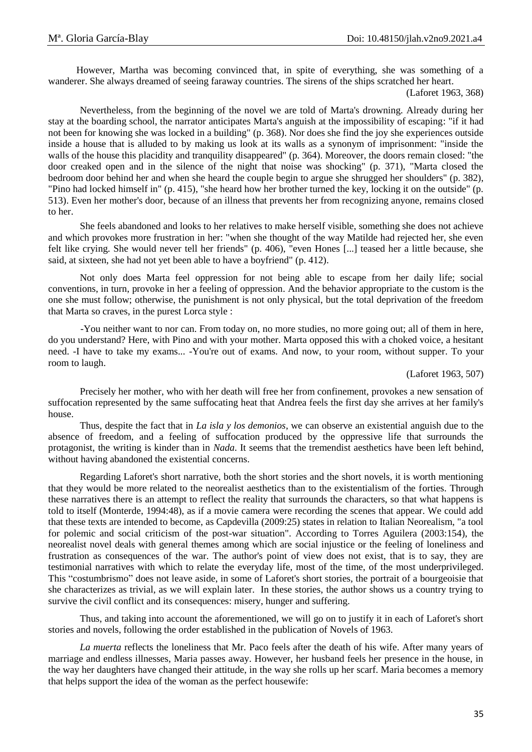However, Martha was becoming convinced that, in spite of everything, she was something of a wanderer. She always dreamed of seeing faraway countries. The sirens of the ships scratched her heart.

Nevertheless, from the beginning of the novel we are told of Marta's drowning. Already during her stay at the boarding school, the narrator anticipates Marta's anguish at the impossibility of escaping: "if it had not been for knowing she was locked in a building" (p. 368). Nor does she find the joy she experiences outside inside a house that is alluded to by making us look at its walls as a synonym of imprisonment: "inside the walls of the house this placidity and tranquility disappeared" (p. 364). Moreover, the doors remain closed: "the door creaked open and in the silence of the night that noise was shocking" (p. 371), "Marta closed the bedroom door behind her and when she heard the couple begin to argue she shrugged her shoulders" (p. 382), "Pino had locked himself in" (p. 415), "she heard how her brother turned the key, locking it on the outside" (p. 513). Even her mother's door, because of an illness that prevents her from recognizing anyone, remains closed to her.

She feels abandoned and looks to her relatives to make herself visible, something she does not achieve and which provokes more frustration in her: "when she thought of the way Matilde had rejected her, she even felt like crying. She would never tell her friends" (p. 406), "even Hones [...] teased her a little because, she said, at sixteen, she had not yet been able to have a boyfriend" (p. 412).

Not only does Marta feel oppression for not being able to escape from her daily life; social conventions, in turn, provoke in her a feeling of oppression. And the behavior appropriate to the custom is the one she must follow; otherwise, the punishment is not only physical, but the total deprivation of the freedom that Marta so craves, in the purest Lorca style :

-You neither want to nor can. From today on, no more studies, no more going out; all of them in here, do you understand? Here, with Pino and with your mother. Marta opposed this with a choked voice, a hesitant need. -I have to take my exams... -You're out of exams. And now, to your room, without supper. To your room to laugh.

### (Laforet 1963, 507)

Precisely her mother, who with her death will free her from confinement, provokes a new sensation of suffocation represented by the same suffocating heat that Andrea feels the first day she arrives at her family's house.

Thus, despite the fact that in *La isla y los demonios*, we can observe an existential anguish due to the absence of freedom, and a feeling of suffocation produced by the oppressive life that surrounds the protagonist, the writing is kinder than in *Nada*. It seems that the tremendist aesthetics have been left behind, without having abandoned the existential concerns.

Regarding Laforet's short narrative, both the short stories and the short novels, it is worth mentioning that they would be more related to the neorealist aesthetics than to the existentialism of the forties. Through these narratives there is an attempt to reflect the reality that surrounds the characters, so that what happens is told to itself (Monterde, 1994:48), as if a movie camera were recording the scenes that appear. We could add that these texts are intended to become, as Capdevilla (2009:25) states in relation to Italian Neorealism, "a tool for polemic and social criticism of the post-war situation". According to Torres Aguilera (2003:154), the neorealist novel deals with general themes among which are social injustice or the feeling of loneliness and frustration as consequences of the war. The author's point of view does not exist, that is to say, they are testimonial narratives with which to relate the everyday life, most of the time, of the most underprivileged. This "costumbrismo" does not leave aside, in some of Laforet's short stories, the portrait of a bourgeoisie that she characterizes as trivial, as we will explain later. In these stories, the author shows us a country trying to survive the civil conflict and its consequences: misery, hunger and suffering.

Thus, and taking into account the aforementioned, we will go on to justify it in each of Laforet's short stories and novels, following the order established in the publication of Novels of 1963.

*La muerta* reflects the loneliness that Mr. Paco feels after the death of his wife. After many years of marriage and endless illnesses, Maria passes away. However, her husband feels her presence in the house, in the way her daughters have changed their attitude, in the way she rolls up her scarf. Maria becomes a memory that helps support the idea of the woman as the perfect housewife:

<sup>(</sup>Laforet 1963, 368)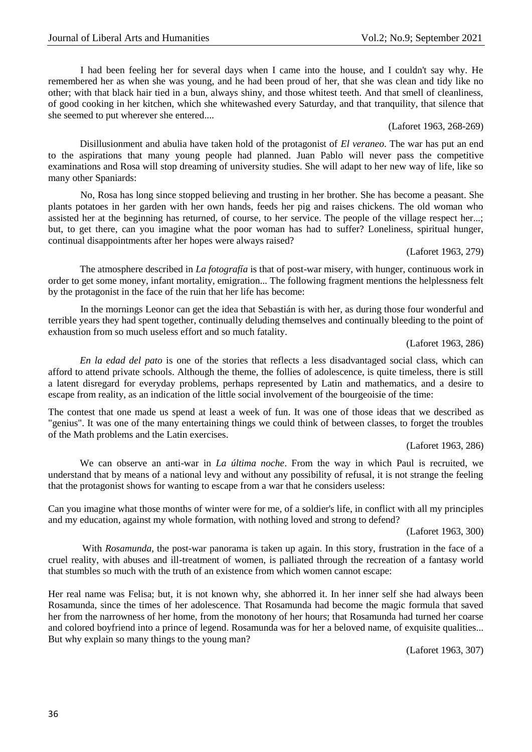I had been feeling her for several days when I came into the house, and I couldn't say why. He remembered her as when she was young, and he had been proud of her, that she was clean and tidy like no other; with that black hair tied in a bun, always shiny, and those whitest teeth. And that smell of cleanliness, of good cooking in her kitchen, which she whitewashed every Saturday, and that tranquility, that silence that she seemed to put wherever she entered....

# (Laforet 1963, 268-269)

Disillusionment and abulia have taken hold of the protagonist of *El veraneo*. The war has put an end to the aspirations that many young people had planned. Juan Pablo will never pass the competitive examinations and Rosa will stop dreaming of university studies. She will adapt to her new way of life, like so many other Spaniards:

No, Rosa has long since stopped believing and trusting in her brother. She has become a peasant. She plants potatoes in her garden with her own hands, feeds her pig and raises chickens. The old woman who assisted her at the beginning has returned, of course, to her service. The people of the village respect her...; but, to get there, can you imagine what the poor woman has had to suffer? Loneliness, spiritual hunger, continual disappointments after her hopes were always raised?

(Laforet 1963, 279)

The atmosphere described in *La fotografía* is that of post-war misery, with hunger, continuous work in order to get some money, infant mortality, emigration... The following fragment mentions the helplessness felt by the protagonist in the face of the ruin that her life has become:

In the mornings Leonor can get the idea that Sebastián is with her, as during those four wonderful and terrible years they had spent together, continually deluding themselves and continually bleeding to the point of exhaustion from so much useless effort and so much fatality.

(Laforet 1963, 286)

*En la edad del pato* is one of the stories that reflects a less disadvantaged social class, which can afford to attend private schools. Although the theme, the follies of adolescence, is quite timeless, there is still a latent disregard for everyday problems, perhaps represented by Latin and mathematics, and a desire to escape from reality, as an indication of the little social involvement of the bourgeoisie of the time:

The contest that one made us spend at least a week of fun. It was one of those ideas that we described as "genius". It was one of the many entertaining things we could think of between classes, to forget the troubles of the Math problems and the Latin exercises.

(Laforet 1963, 286)

We can observe an anti-war in *La última noche*. From the way in which Paul is recruited, we understand that by means of a national levy and without any possibility of refusal, it is not strange the feeling that the protagonist shows for wanting to escape from a war that he considers useless:

Can you imagine what those months of winter were for me, of a soldier's life, in conflict with all my principles and my education, against my whole formation, with nothing loved and strong to defend?

(Laforet 1963, 300)

With *Rosamunda*, the post-war panorama is taken up again. In this story, frustration in the face of a cruel reality, with abuses and ill-treatment of women, is palliated through the recreation of a fantasy world that stumbles so much with the truth of an existence from which women cannot escape:

Her real name was Felisa; but, it is not known why, she abhorred it. In her inner self she had always been Rosamunda, since the times of her adolescence. That Rosamunda had become the magic formula that saved her from the narrowness of her home, from the monotony of her hours; that Rosamunda had turned her coarse and colored boyfriend into a prince of legend. Rosamunda was for her a beloved name, of exquisite qualities... But why explain so many things to the young man?

(Laforet 1963, 307)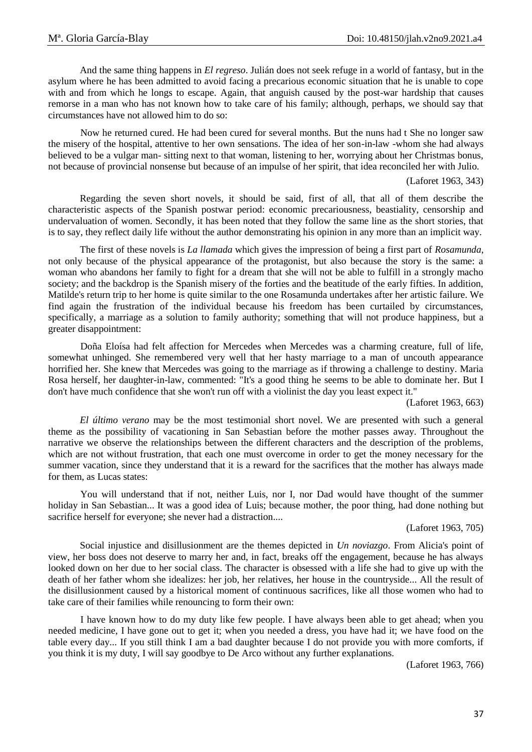And the same thing happens in *El regreso*. Julián does not seek refuge in a world of fantasy, but in the asylum where he has been admitted to avoid facing a precarious economic situation that he is unable to cope with and from which he longs to escape. Again, that anguish caused by the post-war hardship that causes remorse in a man who has not known how to take care of his family; although, perhaps, we should say that circumstances have not allowed him to do so:

Now he returned cured. He had been cured for several months. But the nuns had t She no longer saw the misery of the hospital, attentive to her own sensations. The idea of her son-in-law -whom she had always believed to be a vulgar man- sitting next to that woman, listening to her, worrying about her Christmas bonus, not because of provincial nonsense but because of an impulse of her spirit, that idea reconciled her with Julio.

(Laforet 1963, 343)

Regarding the seven short novels, it should be said, first of all, that all of them describe the characteristic aspects of the Spanish postwar period: economic precariousness, beastiality, censorship and undervaluation of women. Secondly, it has been noted that they follow the same line as the short stories, that is to say, they reflect daily life without the author demonstrating his opinion in any more than an implicit way.

The first of these novels is *La llamada* which gives the impression of being a first part of *Rosamunda*, not only because of the physical appearance of the protagonist, but also because the story is the same: a woman who abandons her family to fight for a dream that she will not be able to fulfill in a strongly macho society; and the backdrop is the Spanish misery of the forties and the beatitude of the early fifties. In addition, Matilde's return trip to her home is quite similar to the one Rosamunda undertakes after her artistic failure. We find again the frustration of the individual because his freedom has been curtailed by circumstances, specifically, a marriage as a solution to family authority; something that will not produce happiness, but a greater disappointment:

Doña Eloísa had felt affection for Mercedes when Mercedes was a charming creature, full of life, somewhat unhinged. She remembered very well that her hasty marriage to a man of uncouth appearance horrified her. She knew that Mercedes was going to the marriage as if throwing a challenge to destiny. Maria Rosa herself, her daughter-in-law, commented: "It's a good thing he seems to be able to dominate her. But I don't have much confidence that she won't run off with a violinist the day you least expect it."

(Laforet 1963, 663)

*El último verano* may be the most testimonial short novel. We are presented with such a general theme as the possibility of vacationing in San Sebastian before the mother passes away. Throughout the narrative we observe the relationships between the different characters and the description of the problems, which are not without frustration, that each one must overcome in order to get the money necessary for the summer vacation, since they understand that it is a reward for the sacrifices that the mother has always made for them, as Lucas states:

You will understand that if not, neither Luis, nor I, nor Dad would have thought of the summer holiday in San Sebastian... It was a good idea of Luis; because mother, the poor thing, had done nothing but sacrifice herself for everyone; she never had a distraction....

#### (Laforet 1963, 705)

Social injustice and disillusionment are the themes depicted in *Un noviazgo*. From Alicia's point of view, her boss does not deserve to marry her and, in fact, breaks off the engagement, because he has always looked down on her due to her social class. The character is obsessed with a life she had to give up with the death of her father whom she idealizes: her job, her relatives, her house in the countryside... All the result of the disillusionment caused by a historical moment of continuous sacrifices, like all those women who had to take care of their families while renouncing to form their own:

I have known how to do my duty like few people. I have always been able to get ahead; when you needed medicine, I have gone out to get it; when you needed a dress, you have had it; we have food on the table every day... If you still think I am a bad daughter because I do not provide you with more comforts, if you think it is my duty, I will say goodbye to De Arco without any further explanations.

(Laforet 1963, 766)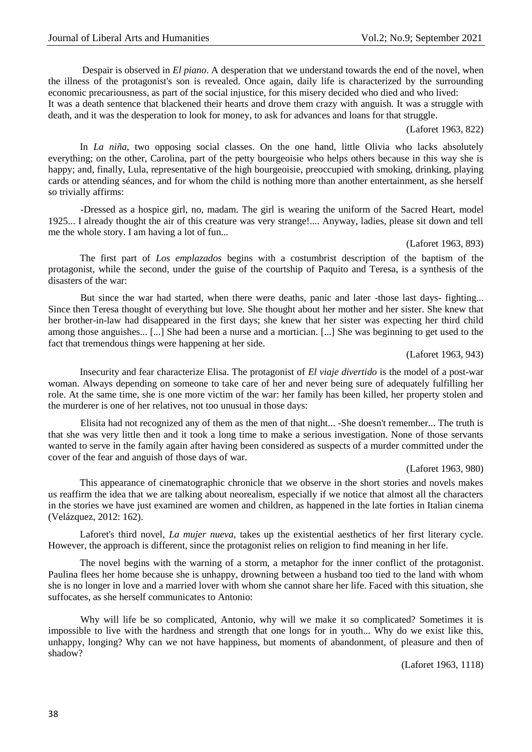Despair is observed in *El piano*. A desperation that we understand towards the end of the novel, when the illness of the protagonist's son is revealed. Once again, daily life is characterized by the surrounding economic precariousness, as part of the social injustice, for this misery decided who died and who lived:

It was a death sentence that blackened their hearts and drove them crazy with anguish. It was a struggle with death, and it was the desperation to look for money, to ask for advances and loans for that struggle.

(Laforet 1963, 822)

In *La niña*, two opposing social classes. On the one hand, little Olivia who lacks absolutely everything; on the other, Carolina, part of the petty bourgeoisie who helps others because in this way she is happy; and, finally, Lula, representative of the high bourgeoisie, preoccupied with smoking, drinking, playing cards or attending séances, and for whom the child is nothing more than another entertainment, as she herself so trivially affirms:

-Dressed as a hospice girl, no, madam. The girl is wearing the uniform of the Sacred Heart, model 1925... I already thought the air of this creature was very strange!.... Anyway, ladies, please sit down and tell me the whole story. I am having a lot of fun...

# (Laforet 1963, 893)

The first part of *Los emplazados* begins with a costumbrist description of the baptism of the protagonist, while the second, under the guise of the courtship of Paquito and Teresa, is a synthesis of the disasters of the war:

But since the war had started, when there were deaths, panic and later -those last days- fighting... Since then Teresa thought of everything but love. She thought about her mother and her sister. She knew that her brother-in-law had disappeared in the first days; she knew that her sister was expecting her third child among those anguishes... [...] She had been a nurse and a mortician. [...] She was beginning to get used to the fact that tremendous things were happening at her side.

(Laforet 1963, 943)

Insecurity and fear characterize Elisa. The protagonist of *El viaje divertido* is the model of a post-war woman. Always depending on someone to take care of her and never being sure of adequately fulfilling her role. At the same time, she is one more victim of the war: her family has been killed, her property stolen and the murderer is one of her relatives, not too unusual in those days:

Elisita had not recognized any of them as the men of that night... -She doesn't remember... The truth is that she was very little then and it took a long time to make a serious investigation. None of those servants wanted to serve in the family again after having been considered as suspects of a murder committed under the cover of the fear and anguish of those days of war.

### (Laforet 1963, 980)

This appearance of cinematographic chronicle that we observe in the short stories and novels makes us reaffirm the idea that we are talking about neorealism, especially if we notice that almost all the characters in the stories we have just examined are women and children, as happened in the late forties in Italian cinema (Velázquez, 2012: 162).

Laforet's third novel, *La mujer nueva*, takes up the existential aesthetics of her first literary cycle. However, the approach is different, since the protagonist relies on religion to find meaning in her life.

The novel begins with the warning of a storm, a metaphor for the inner conflict of the protagonist. Paulina flees her home because she is unhappy, drowning between a husband too tied to the land with whom she is no longer in love and a married lover with whom she cannot share her life. Faced with this situation, she suffocates, as she herself communicates to Antonio:

Why will life be so complicated, Antonio, why will we make it so complicated? Sometimes it is impossible to live with the hardness and strength that one longs for in youth... Why do we exist like this, unhappy, longing? Why can we not have happiness, but moments of abandonment, of pleasure and then of shadow?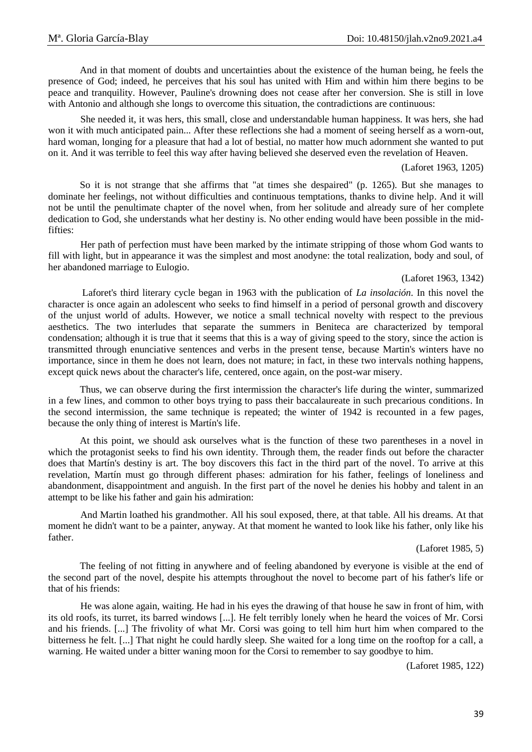And in that moment of doubts and uncertainties about the existence of the human being, he feels the presence of God; indeed, he perceives that his soul has united with Him and within him there begins to be peace and tranquility. However, Pauline's drowning does not cease after her conversion. She is still in love with Antonio and although she longs to overcome this situation, the contradictions are continuous:

She needed it, it was hers, this small, close and understandable human happiness. It was hers, she had won it with much anticipated pain... After these reflections she had a moment of seeing herself as a worn-out, hard woman, longing for a pleasure that had a lot of bestial, no matter how much adornment she wanted to put on it. And it was terrible to feel this way after having believed she deserved even the revelation of Heaven.

### (Laforet 1963, 1205)

So it is not strange that she affirms that "at times she despaired" (p. 1265). But she manages to dominate her feelings, not without difficulties and continuous temptations, thanks to divine help. And it will not be until the penultimate chapter of the novel when, from her solitude and already sure of her complete dedication to God, she understands what her destiny is. No other ending would have been possible in the midfifties:

Her path of perfection must have been marked by the intimate stripping of those whom God wants to fill with light, but in appearance it was the simplest and most anodyne: the total realization, body and soul, of her abandoned marriage to Eulogio.

# (Laforet 1963, 1342)

Laforet's third literary cycle began in 1963 with the publication of *La insolación*. In this novel the character is once again an adolescent who seeks to find himself in a period of personal growth and discovery of the unjust world of adults. However, we notice a small technical novelty with respect to the previous aesthetics. The two interludes that separate the summers in Beniteca are characterized by temporal condensation; although it is true that it seems that this is a way of giving speed to the story, since the action is transmitted through enunciative sentences and verbs in the present tense, because Martin's winters have no importance, since in them he does not learn, does not mature; in fact, in these two intervals nothing happens, except quick news about the character's life, centered, once again, on the post-war misery.

Thus, we can observe during the first intermission the character's life during the winter, summarized in a few lines, and common to other boys trying to pass their baccalaureate in such precarious conditions. In the second intermission, the same technique is repeated; the winter of 1942 is recounted in a few pages, because the only thing of interest is Martín's life.

At this point, we should ask ourselves what is the function of these two parentheses in a novel in which the protagonist seeks to find his own identity. Through them, the reader finds out before the character does that Martín's destiny is art. The boy discovers this fact in the third part of the novel. To arrive at this revelation, Martín must go through different phases: admiration for his father, feelings of loneliness and abandonment, disappointment and anguish. In the first part of the novel he denies his hobby and talent in an attempt to be like his father and gain his admiration:

And Martin loathed his grandmother. All his soul exposed, there, at that table. All his dreams. At that moment he didn't want to be a painter, anyway. At that moment he wanted to look like his father, only like his father.

(Laforet 1985, 5)

The feeling of not fitting in anywhere and of feeling abandoned by everyone is visible at the end of the second part of the novel, despite his attempts throughout the novel to become part of his father's life or that of his friends:

He was alone again, waiting. He had in his eyes the drawing of that house he saw in front of him, with its old roofs, its turret, its barred windows [...]. He felt terribly lonely when he heard the voices of Mr. Corsi and his friends. [...] The frivolity of what Mr. Corsi was going to tell him hurt him when compared to the bitterness he felt. [...] That night he could hardly sleep. She waited for a long time on the rooftop for a call, a warning. He waited under a bitter waning moon for the Corsi to remember to say goodbye to him.

(Laforet 1985, 122)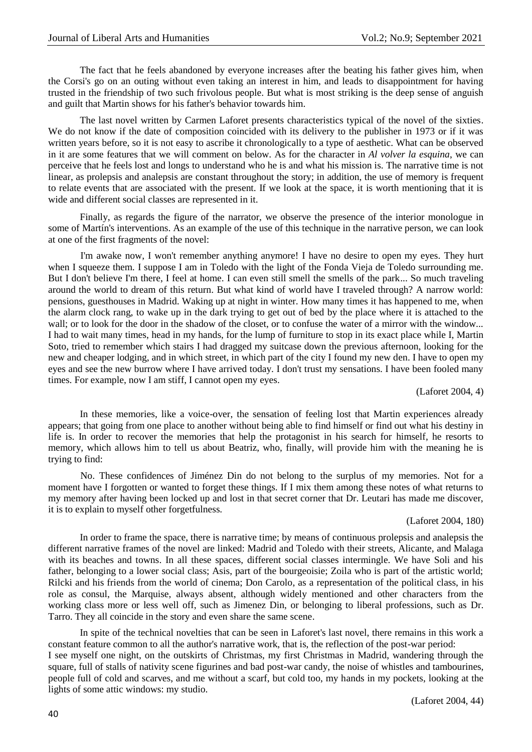The fact that he feels abandoned by everyone increases after the beating his father gives him, when the Corsi's go on an outing without even taking an interest in him, and leads to disappointment for having trusted in the friendship of two such frivolous people. But what is most striking is the deep sense of anguish and guilt that Martin shows for his father's behavior towards him.

The last novel written by Carmen Laforet presents characteristics typical of the novel of the sixties. We do not know if the date of composition coincided with its delivery to the publisher in 1973 or if it was written years before, so it is not easy to ascribe it chronologically to a type of aesthetic. What can be observed in it are some features that we will comment on below. As for the character in *Al volver la esquina*, we can perceive that he feels lost and longs to understand who he is and what his mission is. The narrative time is not linear, as prolepsis and analepsis are constant throughout the story; in addition, the use of memory is frequent to relate events that are associated with the present. If we look at the space, it is worth mentioning that it is wide and different social classes are represented in it.

Finally, as regards the figure of the narrator, we observe the presence of the interior monologue in some of Martín's interventions. As an example of the use of this technique in the narrative person, we can look at one of the first fragments of the novel:

I'm awake now, I won't remember anything anymore! I have no desire to open my eyes. They hurt when I squeeze them. I suppose I am in Toledo with the light of the Fonda Vieja de Toledo surrounding me. But I don't believe I'm there, I feel at home. I can even still smell the smells of the park... So much traveling around the world to dream of this return. But what kind of world have I traveled through? A narrow world: pensions, guesthouses in Madrid. Waking up at night in winter. How many times it has happened to me, when the alarm clock rang, to wake up in the dark trying to get out of bed by the place where it is attached to the wall; or to look for the door in the shadow of the closet, or to confuse the water of a mirror with the window... I had to wait many times, head in my hands, for the lump of furniture to stop in its exact place while I, Martin Soto, tried to remember which stairs I had dragged my suitcase down the previous afternoon, looking for the new and cheaper lodging, and in which street, in which part of the city I found my new den. I have to open my eyes and see the new burrow where I have arrived today. I don't trust my sensations. I have been fooled many times. For example, now I am stiff, I cannot open my eyes.

(Laforet 2004, 4)

In these memories, like a voice-over, the sensation of feeling lost that Martin experiences already appears; that going from one place to another without being able to find himself or find out what his destiny in life is. In order to recover the memories that help the protagonist in his search for himself, he resorts to memory, which allows him to tell us about Beatriz, who, finally, will provide him with the meaning he is trying to find:

No. These confidences of Jiménez Din do not belong to the surplus of my memories. Not for a moment have I forgotten or wanted to forget these things. If I mix them among these notes of what returns to my memory after having been locked up and lost in that secret corner that Dr. Leutari has made me discover, it is to explain to myself other forgetfulness.

# (Laforet 2004, 180)

In order to frame the space, there is narrative time; by means of continuous prolepsis and analepsis the different narrative frames of the novel are linked: Madrid and Toledo with their streets, Alicante, and Malaga with its beaches and towns. In all these spaces, different social classes intermingle. We have Soli and his father, belonging to a lower social class; Asis, part of the bourgeoisie; Zoila who is part of the artistic world; Rilcki and his friends from the world of cinema; Don Carolo, as a representation of the political class, in his role as consul, the Marquise, always absent, although widely mentioned and other characters from the working class more or less well off, such as Jimenez Din, or belonging to liberal professions, such as Dr. Tarro. They all coincide in the story and even share the same scene.

In spite of the technical novelties that can be seen in Laforet's last novel, there remains in this work a constant feature common to all the author's narrative work, that is, the reflection of the post-war period: I see myself one night, on the outskirts of Christmas, my first Christmas in Madrid, wandering through the square, full of stalls of nativity scene figurines and bad post-war candy, the noise of whistles and tambourines, people full of cold and scarves, and me without a scarf, but cold too, my hands in my pockets, looking at the lights of some attic windows: my studio.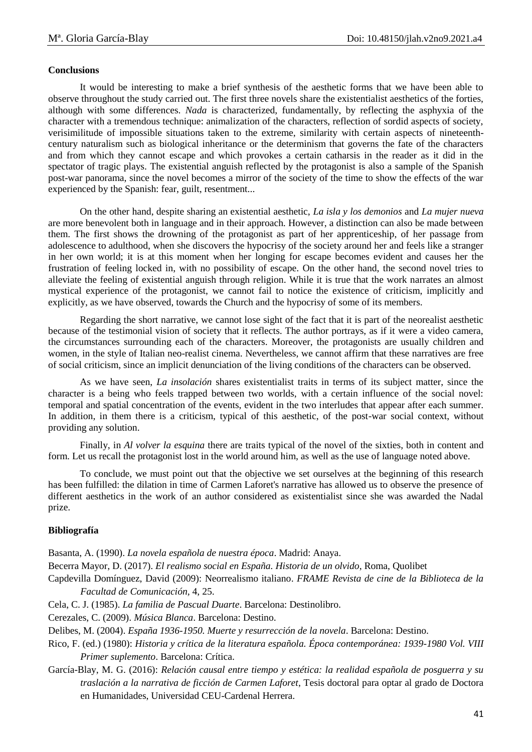# **Conclusions**

It would be interesting to make a brief synthesis of the aesthetic forms that we have been able to observe throughout the study carried out. The first three novels share the existentialist aesthetics of the forties, although with some differences. *Nada* is characterized, fundamentally, by reflecting the asphyxia of the character with a tremendous technique: animalization of the characters, reflection of sordid aspects of society, verisimilitude of impossible situations taken to the extreme, similarity with certain aspects of nineteenthcentury naturalism such as biological inheritance or the determinism that governs the fate of the characters and from which they cannot escape and which provokes a certain catharsis in the reader as it did in the spectator of tragic plays. The existential anguish reflected by the protagonist is also a sample of the Spanish post-war panorama, since the novel becomes a mirror of the society of the time to show the effects of the war experienced by the Spanish: fear, guilt, resentment...

On the other hand, despite sharing an existential aesthetic, *La isla y los demonios* and *La mujer nueva* are more benevolent both in language and in their approach. However, a distinction can also be made between them. The first shows the drowning of the protagonist as part of her apprenticeship, of her passage from adolescence to adulthood, when she discovers the hypocrisy of the society around her and feels like a stranger in her own world; it is at this moment when her longing for escape becomes evident and causes her the frustration of feeling locked in, with no possibility of escape. On the other hand, the second novel tries to alleviate the feeling of existential anguish through religion. While it is true that the work narrates an almost mystical experience of the protagonist, we cannot fail to notice the existence of criticism, implicitly and explicitly, as we have observed, towards the Church and the hypocrisy of some of its members.

Regarding the short narrative, we cannot lose sight of the fact that it is part of the neorealist aesthetic because of the testimonial vision of society that it reflects. The author portrays, as if it were a video camera, the circumstances surrounding each of the characters. Moreover, the protagonists are usually children and women, in the style of Italian neo-realist cinema. Nevertheless, we cannot affirm that these narratives are free of social criticism, since an implicit denunciation of the living conditions of the characters can be observed.

As we have seen, *La insolación* shares existentialist traits in terms of its subject matter, since the character is a being who feels trapped between two worlds, with a certain influence of the social novel: temporal and spatial concentration of the events, evident in the two interludes that appear after each summer. In addition, in them there is a criticism, typical of this aesthetic, of the post-war social context, without providing any solution.

Finally, in *Al volver la esquina* there are traits typical of the novel of the sixties, both in content and form. Let us recall the protagonist lost in the world around him, as well as the use of language noted above.

To conclude, we must point out that the objective we set ourselves at the beginning of this research has been fulfilled: the dilation in time of Carmen Laforet's narrative has allowed us to observe the presence of different aesthetics in the work of an author considered as existentialist since she was awarded the Nadal prize.

# **Bibliografía**

Basanta, A. (1990). *La novela española de nuestra época*. Madrid: Anaya.

Becerra Mayor, D. (2017). *El realismo social en España. Historia de un olvido*, Roma, Quolibet

- Capdevilla Domínguez, David (2009): Neorrealismo italiano. *FRAME Revista de cine de la Biblioteca de la Facultad de Comunicación,* 4, 25.
- Cela, C. J. (1985). *La familia de Pascual Duarte*. Barcelona: Destinolibro.

Cerezales, C. (2009). *Música Blanca*. Barcelona: Destino.

Delibes, M. (2004). *España 1936-1950. Muerte y resurrección de la novela*. Barcelona: Destino.

- Rico, F. (ed.) (1980): *Historia y crítica de la literatura española. Época contemporánea: 1939-1980 Vol. VIII Primer suplemento*. Barcelona: Crítica.
- García-Blay, M. G. (2016): *Relación causal entre tiempo y estética: la realidad española de posguerra y su traslación a la narrativa de ficción de Carmen Laforet*, Tesis doctoral para optar al grado de Doctora en Humanidades, Universidad CEU-Cardenal Herrera.